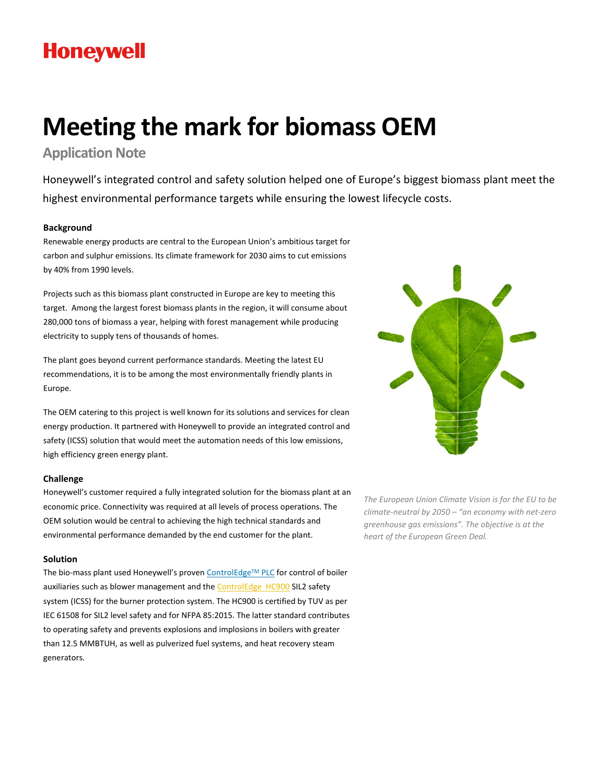# **Honeywell**

# **Meeting the mark for biomass OEM**

**Application Note** 

Honeywell's integrated control and safety solution helped one of Europe's biggest biomass plant meet the highest environmental performance targets while ensuring the lowest lifecycle costs.

# **Background**

Renewable energy products are central to the European Union's ambitious target for carbon and sulphur emissions. Its climate framework for 2030 aims to cut emissions by 40% from 1990 levels.

Projects such as this biomass plant constructed in Europe are key to meeting this target. Among the largest forest biomass plants in the region, it will consume about 280,000 tons of biomass a year, helping with forest management while producing electricity to supply tens of thousands of homes.

The plant goes beyond current performance standards. Meeting the latest EU recommendations, it is to be among the most environmentally friendly plants in Europe.

The OEM catering to this project is well known for its solutions and services for clean energy production. It partnered with Honeywell to provide an integrated control and safety (ICSS) solution that would meet the automation needs of this low emissions, high efficiency green energy plant.

### **Challenge**

Honeywell's customer required a fully integrated solution for the biomass plant at an economic price. Connectivity was required at all levels of process operations. The OEM solution would be central to achieving the high technical standards and environmental performance demanded by the end customer for the plant.

### **Solution**

The bio-mass plant used Honeywell's proven [ControlEdge](https://www.honeywellprocess.com/en-US/online_campaigns/ControlEdge-PLC/Pages/index.html)™ PLC for control of boiler auxiliaries such as blower management and th[e ControlEdge HC900](https://www.honeywellprocess.com/en-US/explore/products/control-monitoring-and-safety-systems/Scalable%20Control%20Solutions/ControlEdge%20HC900%20Process%20and%20Safety%20System/Pages/ControlEdge-HC900.aspx) SIL2 safety system (ICSS) for the burner protection system. The HC900 is certified by TUV as per IEC 61508 for SIL2 level safety and for NFPA 85:2015. The latter standard contributes to operating safety and prevents explosions and implosions in boilers with greater than 12.5 MMBTUH, as well as pulverized fuel systems, and heat recovery steam generators.



*The European Union Climate Vision is for the EU to be climate-neutral by 2050 – "an economy with net-zero greenhouse gas emissions". The objective is at the heart of the European Green Deal.*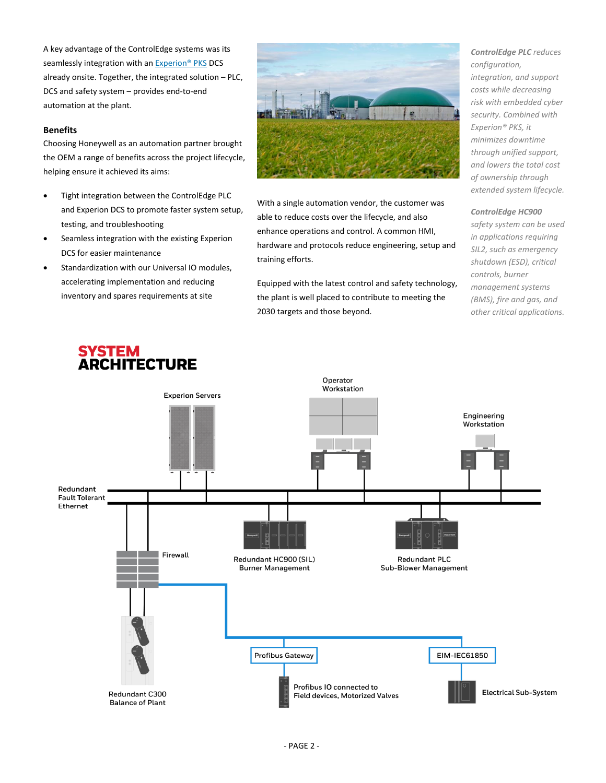A key advantage of the ControlEdge systems was its seamlessly integration with an [Experion® PKS](https://www.honeywellprocess.com/en-US/explore/products/control-monitoring-and-safety-systems/integrated-control-and-safety-systems/experion-pks/Pages/default.aspx) DCS already onsite. Together, the integrated solution – PLC, DCS and safety system – provides end-to-end automation at the plant.

## **Benefits**

Choosing Honeywell as an automation partner brought the OEM a range of benefits across the project lifecycle, helping ensure it achieved its aims:

- Tight integration between the ControlEdge PLC and Experion DCS to promote faster system setup, testing, and troubleshooting
- Seamless integration with the existing Experion DCS for easier maintenance
- **•** Standardization with our Universal IO modules, accelerating implementation and reducing inventory and spares requirements at site



With a single automation vendor, the customer was able to reduce costs over the lifecycle, and also enhance operations and control. A common HMI, hardware and protocols reduce engineering, setup and training efforts.

Equipped with the latest control and safety technology, the plant is well placed to contribute to meeting the 2030 targets and those beyond.

*ControlEdge PLC reduces configuration, integration, and support costs while decreasing risk with embedded cyber security. Combined with Experion® PKS, it minimizes downtime through unified support, and lowers the total cost of ownership through extended system lifecycle.*

#### *ControlEdge HC900*

*safety system can be used in applications requiring SIL2, such as emergency shutdown (ESD), critical controls, burner management systems (BMS), fire and gas, and other critical applications.*